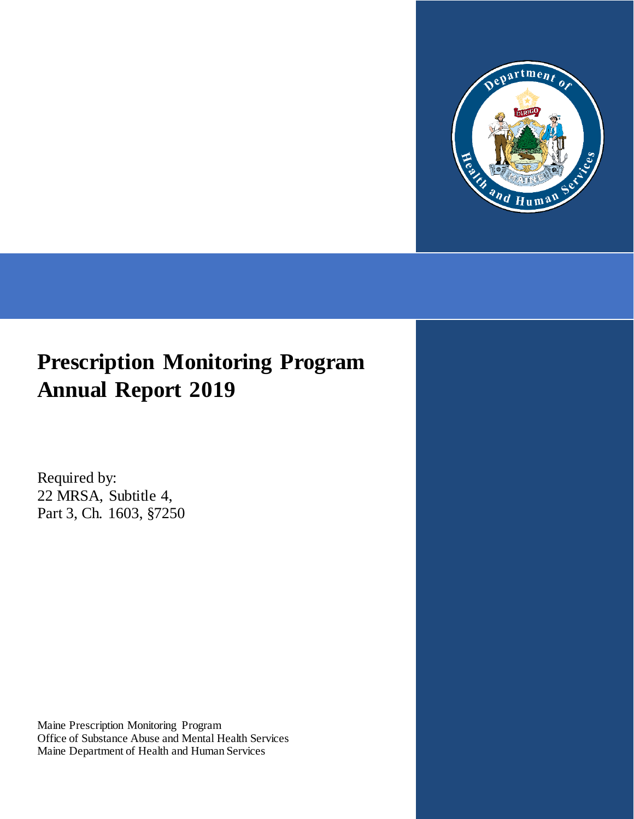

# **Prescription Monitoring Program Annual Report 2019**

Required by: 22 MRSA, Subtitle 4, Part 3, Ch. 1603, §7250

Maine Prescription Monitoring Program Office of Substance Abuse and Mental Health Services Maine Department of Health and Human Services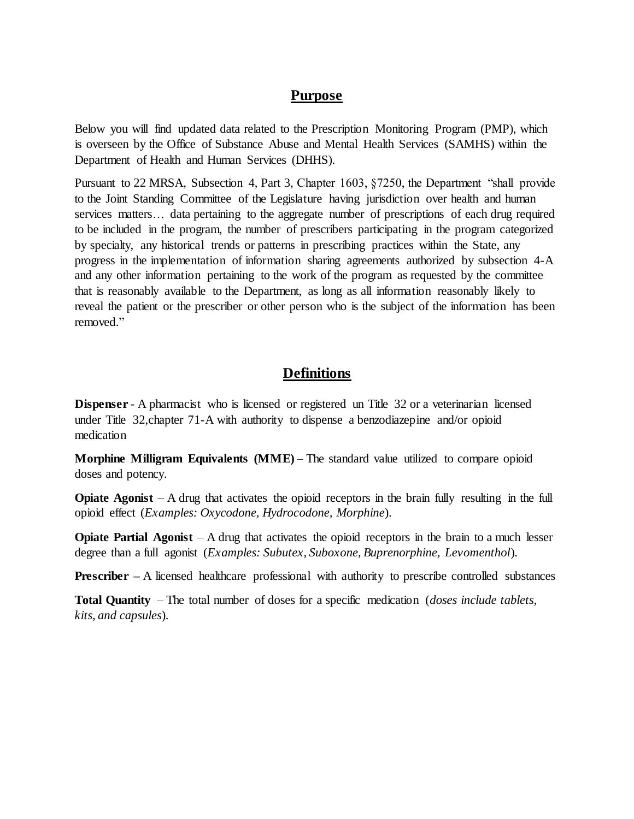#### **Purpose**

Below you will find updated data related to the Prescription Monitoring Program (PMP), which is overseen by the Office of Substance Abuse and Mental Health Services (SAMHS) within the Department of Health and Human Services (DHHS).

Pursuant to 22 MRSA, Subsection 4, Part 3, Chapter 1603, §7250, the Department "shall provide to the Joint Standing Committee of the Legislature having jurisdiction over health and human services matters... data pertaining to the aggregate number of prescriptions of each drug required to be included in the program, the number of prescribers participating in the program categorized by specialty, any historical trends or patterns in prescribing practices within the State, any progress in the implementation of information sharing agreements authorized by subsection 4-A and any other information pertaining to the work of the program as requested by the committee that is reasonably available to the Department, as long as all information reasonably likely to reveal the patient or the prescriber or other person who is the subject of the information has been removed."

#### **Definitions**

**Dispenser** - A pharmacist who is licensed or registered un Title 32 or a veterinarian licensed under Title 32,chapter 71-A with authority to dispense a benzodiazepine and/or opioid medication

**Morphine Milligram Equivalents (MME)** – The standard value utilized to compare opioid doses and potency.

**Opiate Agonist** – A drug that activates the opioid receptors in the brain fully resulting in the full opioid effect (*Examples: Oxycodone, Hydrocodone, Morphine*).

**Opiate Partial Agonist** – A drug that activates the opioid receptors in the brain to a much lesser degree than a full agonist (*Examples: Subutex, Suboxone, Buprenorphine, Levomenthol*).

**Prescriber** – A licensed healthcare professional with authority to prescribe controlled substances

**Total Quantity** – The total number of doses for a specific medication (*doses include tablets, kits, and capsules*).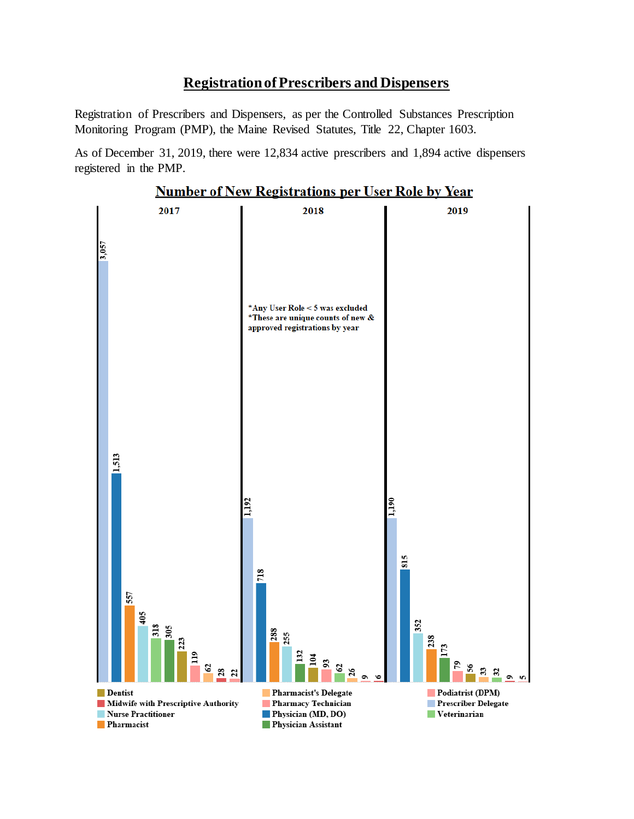#### **Registration of Prescribers and Dispensers**

Registration of Prescribers and Dispensers, as per the Controlled Substances Prescription Monitoring Program (PMP), the Maine Revised Statutes, Title 22, Chapter 1603.

As of December 31, 2019, there were 12,834 active prescribers and 1,894 active dispensers registered in the PMP.



**Number of New Registrations per User Role by Year**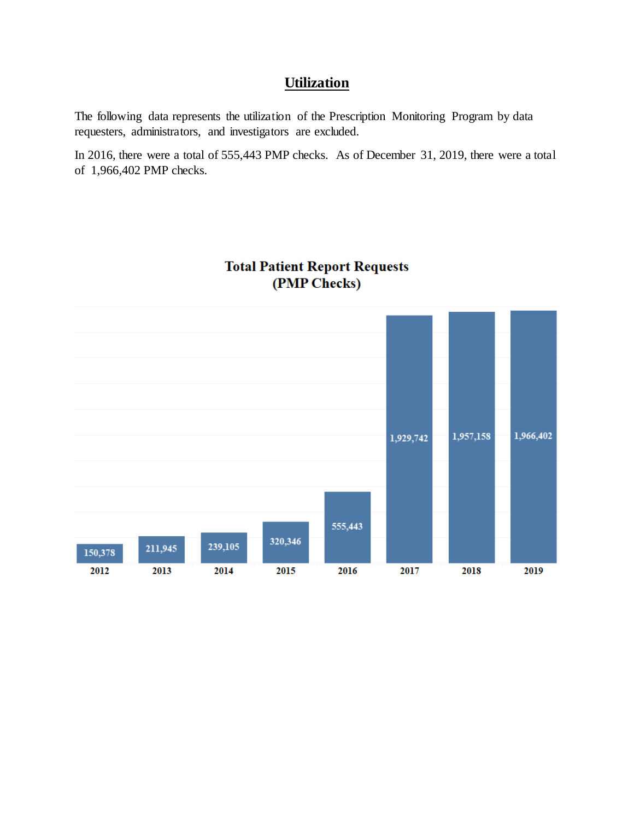## **Utilization**

The following data represents the utilization of the Prescription Monitoring Program by data requesters, administrators, and investigators are excluded.

In 2016, there were a total of 555,443 PMP checks. As of December 31, 2019, there were a total of 1,966,402 PMP checks.



#### **Total Patient Report Requests** (PMP Checks)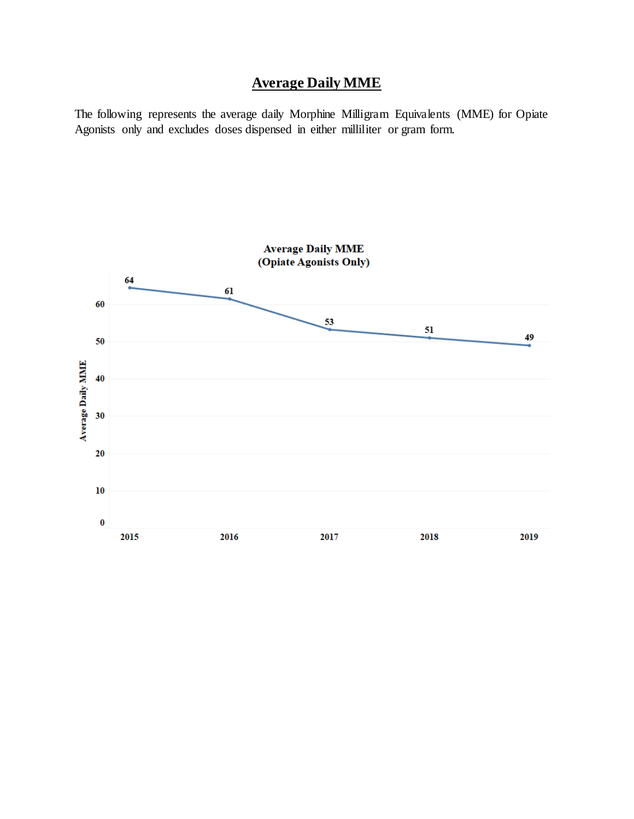# **Average Daily MME**

The following represents the average daily Morphine Milligram Equivalents (MME) for Opiate Agonists only and excludes doses dispensed in either milliliter or gram form.

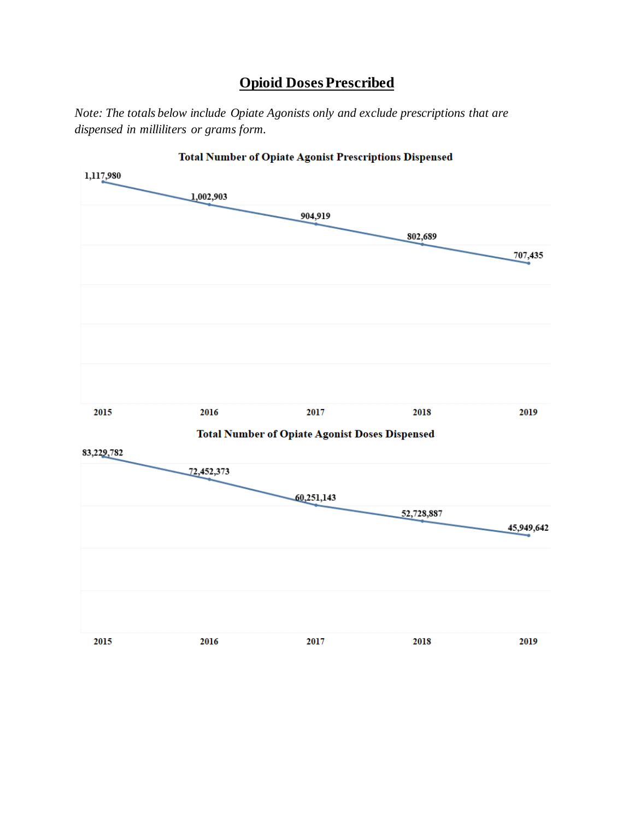# **Opioid Doses Prescribed**

*Note: The totals below include Opiate Agonists only and exclude prescriptions that are dispensed in milliliters or grams form.*

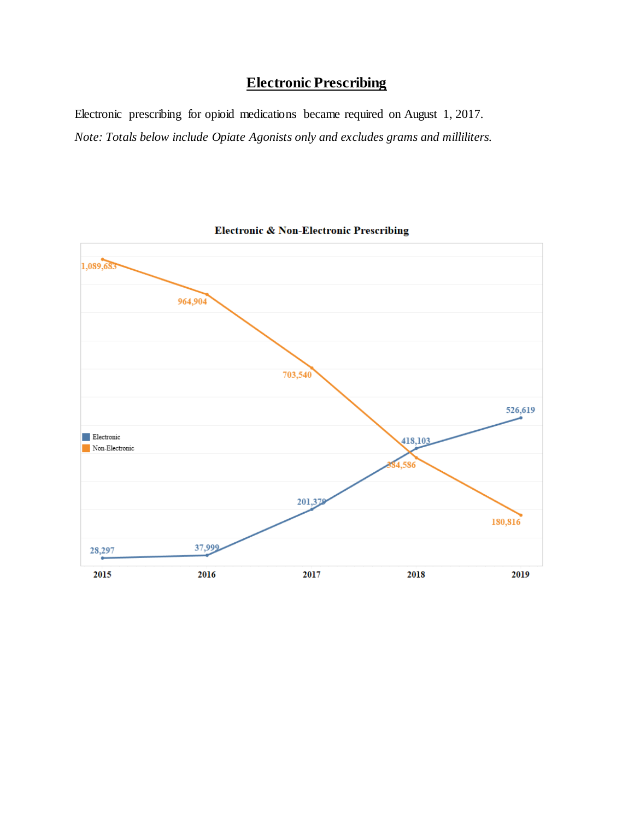# **Electronic Prescribing**

Electronic prescribing for opioid medications became required on August 1, 2017. *Note: Totals below include Opiate Agonists only and excludes grams and milliliters.*



**Electronic & Non-Electronic Prescribing**